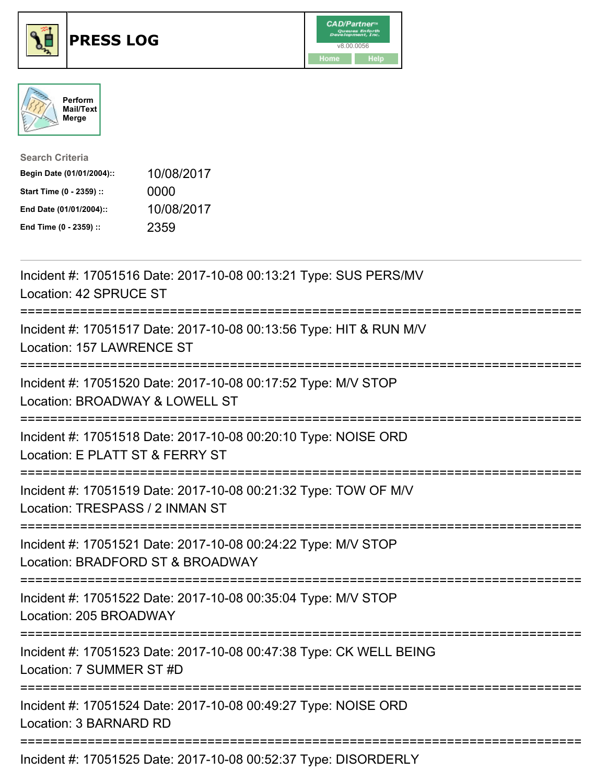





| <b>Search Criteria</b>    |            |
|---------------------------|------------|
| Begin Date (01/01/2004):: | 10/08/2017 |
| Start Time (0 - 2359) ::  | 0000       |
| End Date (01/01/2004)::   | 10/08/2017 |
| End Time (0 - 2359) ::    | 2359       |

| Incident #: 17051516 Date: 2017-10-08 00:13:21 Type: SUS PERS/MV<br>Location: 42 SPRUCE ST                                        |
|-----------------------------------------------------------------------------------------------------------------------------------|
| Incident #: 17051517 Date: 2017-10-08 00:13:56 Type: HIT & RUN M/V<br>Location: 157 LAWRENCE ST<br>==================             |
| Incident #: 17051520 Date: 2017-10-08 00:17:52 Type: M/V STOP<br>Location: BROADWAY & LOWELL ST<br>---------------------          |
| Incident #: 17051518 Date: 2017-10-08 00:20:10 Type: NOISE ORD<br>Location: E PLATT ST & FERRY ST                                 |
| Incident #: 17051519 Date: 2017-10-08 00:21:32 Type: TOW OF M/V<br>Location: TRESPASS / 2 INMAN ST<br>=========================== |
| Incident #: 17051521 Date: 2017-10-08 00:24:22 Type: M/V STOP<br>Location: BRADFORD ST & BROADWAY<br>:=========================== |
| Incident #: 17051522 Date: 2017-10-08 00:35:04 Type: M/V STOP<br>Location: 205 BROADWAY                                           |
| Incident #: 17051523 Date: 2017-10-08 00:47:38 Type: CK WELL BEING<br>Location: 7 SUMMER ST #D                                    |
| Incident #: 17051524 Date: 2017-10-08 00:49:27 Type: NOISE ORD<br>Location: 3 BARNARD RD                                          |
| Incident #: 17051525 Date: 2017-10-08 00:52:37 Type: DISORDERLY                                                                   |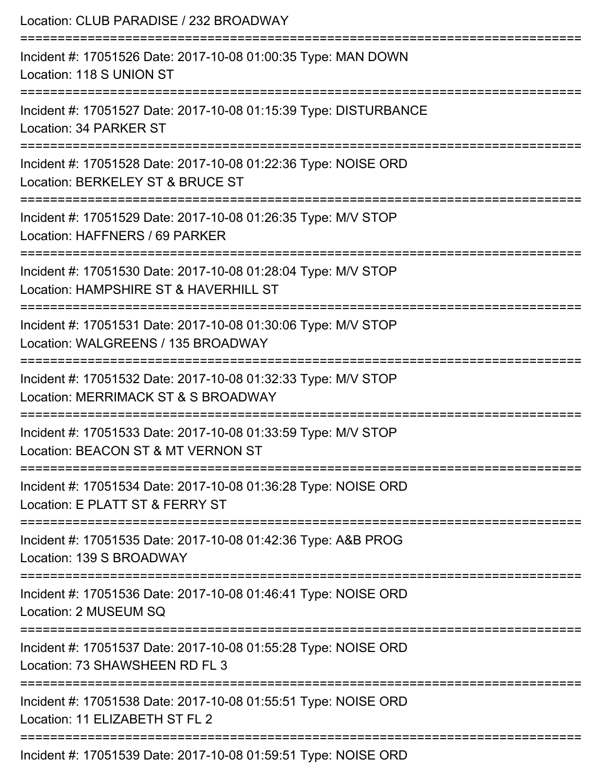| Location: CLUB PARADISE / 232 BROADWAY                                                                                         |
|--------------------------------------------------------------------------------------------------------------------------------|
| Incident #: 17051526 Date: 2017-10-08 01:00:35 Type: MAN DOWN<br>Location: 118 S UNION ST                                      |
| Incident #: 17051527 Date: 2017-10-08 01:15:39 Type: DISTURBANCE<br>Location: 34 PARKER ST                                     |
| Incident #: 17051528 Date: 2017-10-08 01:22:36 Type: NOISE ORD<br>Location: BERKELEY ST & BRUCE ST                             |
| Incident #: 17051529 Date: 2017-10-08 01:26:35 Type: M/V STOP<br>Location: HAFFNERS / 69 PARKER                                |
| Incident #: 17051530 Date: 2017-10-08 01:28:04 Type: M/V STOP<br>Location: HAMPSHIRE ST & HAVERHILL ST                         |
| =======================<br>Incident #: 17051531 Date: 2017-10-08 01:30:06 Type: M/V STOP<br>Location: WALGREENS / 135 BROADWAY |
| Incident #: 17051532 Date: 2017-10-08 01:32:33 Type: M/V STOP<br>Location: MERRIMACK ST & S BROADWAY                           |
| Incident #: 17051533 Date: 2017-10-08 01:33:59 Type: M/V STOP<br>Location: BEACON ST & MT VERNON ST                            |
| Incident #: 17051534 Date: 2017-10-08 01:36:28 Type: NOISE ORD<br>Location: E PLATT ST & FERRY ST                              |
| Incident #: 17051535 Date: 2017-10-08 01:42:36 Type: A&B PROG<br>Location: 139 S BROADWAY                                      |
| Incident #: 17051536 Date: 2017-10-08 01:46:41 Type: NOISE ORD<br>Location: 2 MUSEUM SQ                                        |
| Incident #: 17051537 Date: 2017-10-08 01:55:28 Type: NOISE ORD<br>Location: 73 SHAWSHEEN RD FL 3                               |
| Incident #: 17051538 Date: 2017-10-08 01:55:51 Type: NOISE ORD<br>Location: 11 ELIZABETH ST FL 2                               |
| Incident #: 17051539 Date: 2017-10-08 01:59:51 Type: NOISE ORD                                                                 |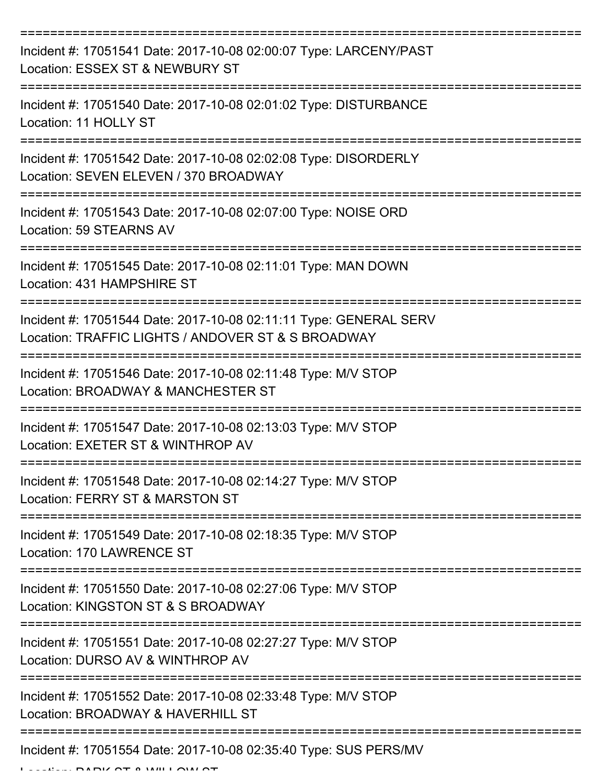| Incident #: 17051541 Date: 2017-10-08 02:00:07 Type: LARCENY/PAST<br>Location: ESSEX ST & NEWBURY ST                    |
|-------------------------------------------------------------------------------------------------------------------------|
| Incident #: 17051540 Date: 2017-10-08 02:01:02 Type: DISTURBANCE<br>Location: 11 HOLLY ST                               |
| Incident #: 17051542 Date: 2017-10-08 02:02:08 Type: DISORDERLY<br>Location: SEVEN ELEVEN / 370 BROADWAY                |
| Incident #: 17051543 Date: 2017-10-08 02:07:00 Type: NOISE ORD<br>Location: 59 STEARNS AV                               |
| Incident #: 17051545 Date: 2017-10-08 02:11:01 Type: MAN DOWN<br>Location: 431 HAMPSHIRE ST                             |
| Incident #: 17051544 Date: 2017-10-08 02:11:11 Type: GENERAL SERV<br>Location: TRAFFIC LIGHTS / ANDOVER ST & S BROADWAY |
| Incident #: 17051546 Date: 2017-10-08 02:11:48 Type: M/V STOP<br>Location: BROADWAY & MANCHESTER ST                     |
| Incident #: 17051547 Date: 2017-10-08 02:13:03 Type: M/V STOP<br>Location: EXETER ST & WINTHROP AV                      |
| Incident #: 17051548 Date: 2017-10-08 02:14:27 Type: M/V STOP<br>Location: FERRY ST & MARSTON ST                        |
| Incident #: 17051549 Date: 2017-10-08 02:18:35 Type: M/V STOP<br>Location: 170 LAWRENCE ST                              |
| Incident #: 17051550 Date: 2017-10-08 02:27:06 Type: M/V STOP<br>Location: KINGSTON ST & S BROADWAY                     |
| Incident #: 17051551 Date: 2017-10-08 02:27:27 Type: M/V STOP<br>Location: DURSO AV & WINTHROP AV                       |
| Incident #: 17051552 Date: 2017-10-08 02:33:48 Type: M/V STOP<br>Location: BROADWAY & HAVERHILL ST                      |
| Incident #: 17051554 Date: 2017-10-08 02:35:40 Type: SUS PERS/MV                                                        |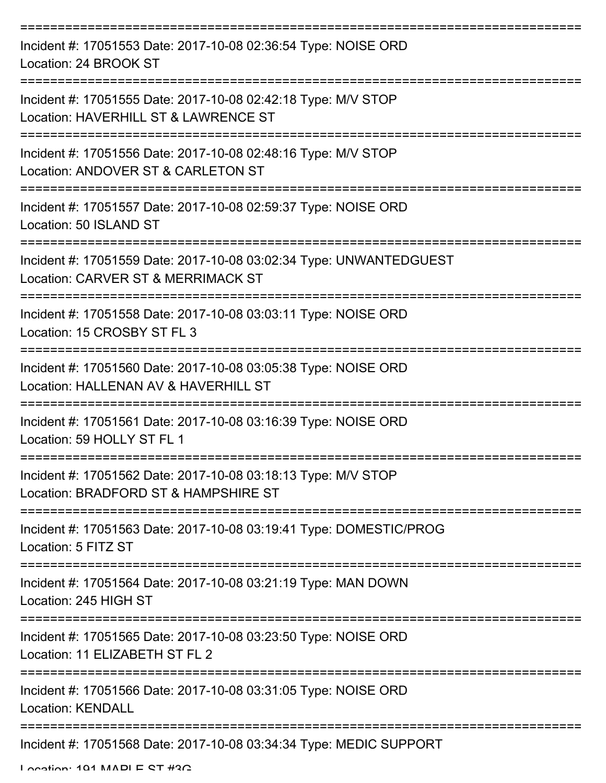| Incident #: 17051553 Date: 2017-10-08 02:36:54 Type: NOISE ORD<br>Location: 24 BROOK ST                                                 |
|-----------------------------------------------------------------------------------------------------------------------------------------|
| Incident #: 17051555 Date: 2017-10-08 02:42:18 Type: M/V STOP<br>Location: HAVERHILL ST & LAWRENCE ST                                   |
| Incident #: 17051556 Date: 2017-10-08 02:48:16 Type: M/V STOP<br>Location: ANDOVER ST & CARLETON ST                                     |
| Incident #: 17051557 Date: 2017-10-08 02:59:37 Type: NOISE ORD<br>Location: 50 ISLAND ST                                                |
| Incident #: 17051559 Date: 2017-10-08 03:02:34 Type: UNWANTEDGUEST<br>Location: CARVER ST & MERRIMACK ST                                |
| Incident #: 17051558 Date: 2017-10-08 03:03:11 Type: NOISE ORD<br>Location: 15 CROSBY ST FL 3                                           |
| Incident #: 17051560 Date: 2017-10-08 03:05:38 Type: NOISE ORD<br>Location: HALLENAN AV & HAVERHILL ST                                  |
| Incident #: 17051561 Date: 2017-10-08 03:16:39 Type: NOISE ORD<br>Location: 59 HOLLY ST FL 1                                            |
| Incident #: 17051562 Date: 2017-10-08 03:18:13 Type: M/V STOP<br>Location: BRADFORD ST & HAMPSHIRE ST                                   |
| Incident #: 17051563 Date: 2017-10-08 03:19:41 Type: DOMESTIC/PROG<br>Location: 5 FITZ ST                                               |
| Incident #: 17051564 Date: 2017-10-08 03:21:19 Type: MAN DOWN<br>Location: 245 HIGH ST                                                  |
| ===================================<br>Incident #: 17051565 Date: 2017-10-08 03:23:50 Type: NOISE ORD<br>Location: 11 ELIZABETH ST FL 2 |
| Incident #: 17051566 Date: 2017-10-08 03:31:05 Type: NOISE ORD<br><b>Location: KENDALL</b>                                              |
| Incident #: 17051568 Date: 2017-10-08 03:34:34 Type: MEDIC SUPPORT                                                                      |

Location: 191 MAPLE ST #3G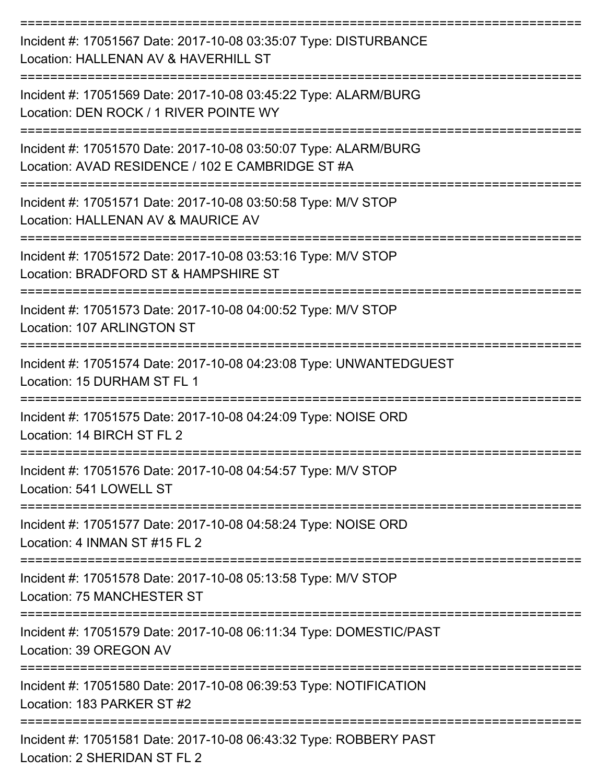| Incident #: 17051567 Date: 2017-10-08 03:35:07 Type: DISTURBANCE<br>Location: HALLENAN AV & HAVERHILL ST            |
|---------------------------------------------------------------------------------------------------------------------|
| Incident #: 17051569 Date: 2017-10-08 03:45:22 Type: ALARM/BURG<br>Location: DEN ROCK / 1 RIVER POINTE WY           |
| Incident #: 17051570 Date: 2017-10-08 03:50:07 Type: ALARM/BURG<br>Location: AVAD RESIDENCE / 102 E CAMBRIDGE ST #A |
| Incident #: 17051571 Date: 2017-10-08 03:50:58 Type: M/V STOP<br>Location: HALLENAN AV & MAURICE AV                 |
| Incident #: 17051572 Date: 2017-10-08 03:53:16 Type: M/V STOP<br>Location: BRADFORD ST & HAMPSHIRE ST               |
| Incident #: 17051573 Date: 2017-10-08 04:00:52 Type: M/V STOP<br>Location: 107 ARLINGTON ST                         |
| Incident #: 17051574 Date: 2017-10-08 04:23:08 Type: UNWANTEDGUEST<br>Location: 15 DURHAM ST FL 1                   |
| Incident #: 17051575 Date: 2017-10-08 04:24:09 Type: NOISE ORD<br>Location: 14 BIRCH ST FL 2                        |
| Incident #: 17051576 Date: 2017-10-08 04:54:57 Type: M/V STOP<br>Location: 541 LOWELL ST                            |
| --------------<br>Incident #: 17051577 Date: 2017-10-08 04:58:24 Type: NOISE ORD<br>Location: 4 INMAN ST #15 FL 2   |
| Incident #: 17051578 Date: 2017-10-08 05:13:58 Type: M/V STOP<br>Location: 75 MANCHESTER ST                         |
| Incident #: 17051579 Date: 2017-10-08 06:11:34 Type: DOMESTIC/PAST<br>Location: 39 OREGON AV                        |
| Incident #: 17051580 Date: 2017-10-08 06:39:53 Type: NOTIFICATION<br>Location: 183 PARKER ST #2                     |
| Incident #: 17051581 Date: 2017-10-08 06:43:32 Type: ROBBERY PAST<br>Location: 2 SHERIDAN ST FL 2                   |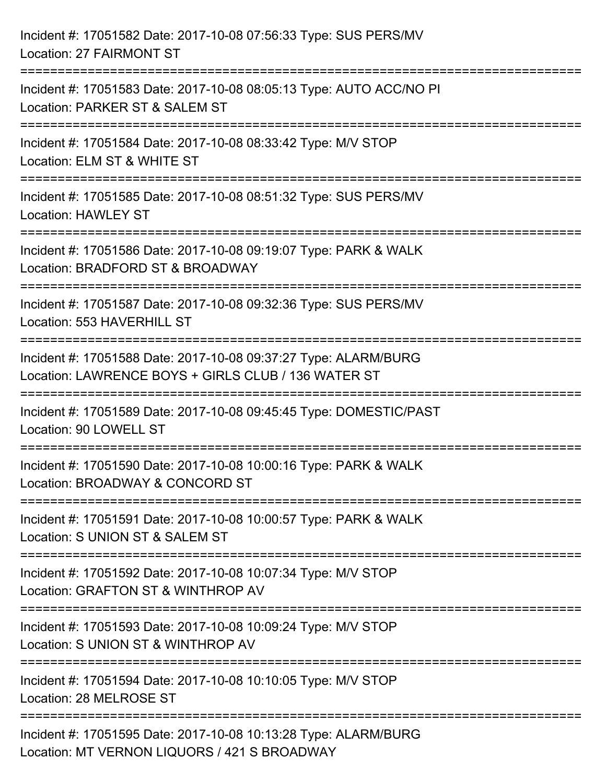| Incident #: 17051582 Date: 2017-10-08 07:56:33 Type: SUS PERS/MV<br>Location: 27 FAIRMONT ST                                   |
|--------------------------------------------------------------------------------------------------------------------------------|
| Incident #: 17051583 Date: 2017-10-08 08:05:13 Type: AUTO ACC/NO PI<br>Location: PARKER ST & SALEM ST                          |
| Incident #: 17051584 Date: 2017-10-08 08:33:42 Type: M/V STOP<br>Location: ELM ST & WHITE ST<br>============================== |
| Incident #: 17051585 Date: 2017-10-08 08:51:32 Type: SUS PERS/MV<br><b>Location: HAWLEY ST</b>                                 |
| Incident #: 17051586 Date: 2017-10-08 09:19:07 Type: PARK & WALK<br>Location: BRADFORD ST & BROADWAY                           |
| Incident #: 17051587 Date: 2017-10-08 09:32:36 Type: SUS PERS/MV<br>Location: 553 HAVERHILL ST                                 |
| Incident #: 17051588 Date: 2017-10-08 09:37:27 Type: ALARM/BURG<br>Location: LAWRENCE BOYS + GIRLS CLUB / 136 WATER ST         |
| Incident #: 17051589 Date: 2017-10-08 09:45:45 Type: DOMESTIC/PAST<br>Location: 90 LOWELL ST                                   |
| Incident #: 17051590 Date: 2017-10-08 10:00:16 Type: PARK & WALK<br>Location: BROADWAY & CONCORD ST                            |
| Incident #: 17051591 Date: 2017-10-08 10:00:57 Type: PARK & WALK<br>Location: S UNION ST & SALEM ST                            |
| Incident #: 17051592 Date: 2017-10-08 10:07:34 Type: M/V STOP<br>Location: GRAFTON ST & WINTHROP AV                            |
| Incident #: 17051593 Date: 2017-10-08 10:09:24 Type: M/V STOP<br>Location: S UNION ST & WINTHROP AV                            |
| Incident #: 17051594 Date: 2017-10-08 10:10:05 Type: M/V STOP<br>Location: 28 MELROSE ST                                       |
| Incident #: 17051595 Date: 2017-10-08 10:13:28 Type: ALARM/BURG<br>Location: MT VERNON LIQUORS / 421 S BROADWAY                |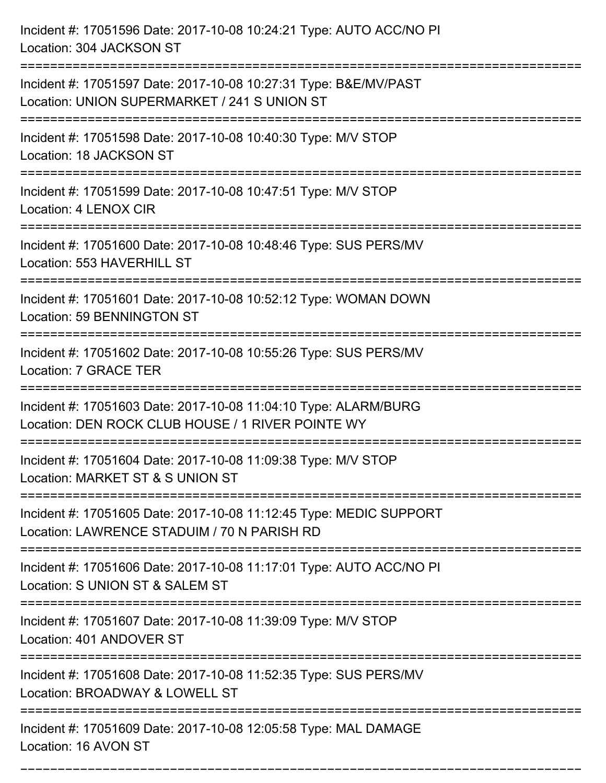| Incident #: 17051596 Date: 2017-10-08 10:24:21 Type: AUTO ACC/NO PI<br>Location: 304 JACKSON ST                       |
|-----------------------------------------------------------------------------------------------------------------------|
| Incident #: 17051597 Date: 2017-10-08 10:27:31 Type: B&E/MV/PAST<br>Location: UNION SUPERMARKET / 241 S UNION ST      |
| Incident #: 17051598 Date: 2017-10-08 10:40:30 Type: M/V STOP<br>Location: 18 JACKSON ST<br>:======================== |
| Incident #: 17051599 Date: 2017-10-08 10:47:51 Type: M/V STOP<br>Location: 4 LENOX CIR                                |
| Incident #: 17051600 Date: 2017-10-08 10:48:46 Type: SUS PERS/MV<br>Location: 553 HAVERHILL ST                        |
| Incident #: 17051601 Date: 2017-10-08 10:52:12 Type: WOMAN DOWN<br>Location: 59 BENNINGTON ST                         |
| Incident #: 17051602 Date: 2017-10-08 10:55:26 Type: SUS PERS/MV<br>Location: 7 GRACE TER                             |
| Incident #: 17051603 Date: 2017-10-08 11:04:10 Type: ALARM/BURG<br>Location: DEN ROCK CLUB HOUSE / 1 RIVER POINTE WY  |
| Incident #: 17051604 Date: 2017-10-08 11:09:38 Type: M/V STOP<br>Location: MARKET ST & S UNION ST                     |
| Incident #: 17051605 Date: 2017-10-08 11:12:45 Type: MEDIC SUPPORT<br>Location: LAWRENCE STADUIM / 70 N PARISH RD     |
| Incident #: 17051606 Date: 2017-10-08 11:17:01 Type: AUTO ACC/NO PI<br>Location: S UNION ST & SALEM ST                |
| Incident #: 17051607 Date: 2017-10-08 11:39:09 Type: M/V STOP<br>Location: 401 ANDOVER ST                             |
| Incident #: 17051608 Date: 2017-10-08 11:52:35 Type: SUS PERS/MV<br>Location: BROADWAY & LOWELL ST                    |
| Incident #: 17051609 Date: 2017-10-08 12:05:58 Type: MAL DAMAGE<br>Location: 16 AVON ST                               |

===========================================================================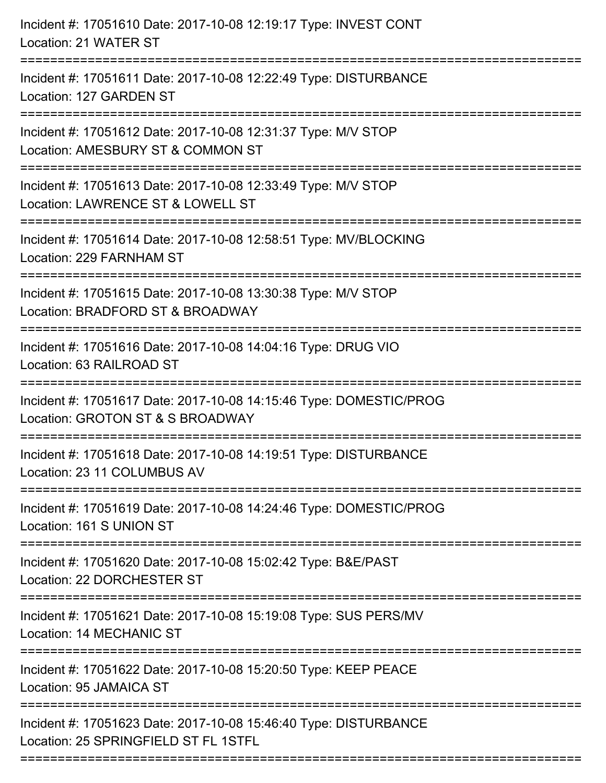| Incident #: 17051610 Date: 2017-10-08 12:19:17 Type: INVEST CONT<br>Location: 21 WATER ST                                      |
|--------------------------------------------------------------------------------------------------------------------------------|
| Incident #: 17051611 Date: 2017-10-08 12:22:49 Type: DISTURBANCE<br>Location: 127 GARDEN ST                                    |
| Incident #: 17051612 Date: 2017-10-08 12:31:37 Type: M/V STOP<br>Location: AMESBURY ST & COMMON ST<br>======================== |
| Incident #: 17051613 Date: 2017-10-08 12:33:49 Type: M/V STOP<br>Location: LAWRENCE ST & LOWELL ST                             |
| Incident #: 17051614 Date: 2017-10-08 12:58:51 Type: MV/BLOCKING<br>Location: 229 FARNHAM ST                                   |
| Incident #: 17051615 Date: 2017-10-08 13:30:38 Type: M/V STOP<br>Location: BRADFORD ST & BROADWAY<br>=======================   |
| Incident #: 17051616 Date: 2017-10-08 14:04:16 Type: DRUG VIO<br>Location: 63 RAILROAD ST                                      |
| Incident #: 17051617 Date: 2017-10-08 14:15:46 Type: DOMESTIC/PROG<br>Location: GROTON ST & S BROADWAY                         |
| Incident #: 17051618 Date: 2017-10-08 14:19:51 Type: DISTURBANCE<br>Location: 23 11 COLUMBUS AV                                |
| Incident #: 17051619 Date: 2017-10-08 14:24:46 Type: DOMESTIC/PROG<br>Location: 161 S UNION ST                                 |
| Incident #: 17051620 Date: 2017-10-08 15:02:42 Type: B&E/PAST<br>Location: 22 DORCHESTER ST                                    |
| Incident #: 17051621 Date: 2017-10-08 15:19:08 Type: SUS PERS/MV<br>Location: 14 MECHANIC ST                                   |
| Incident #: 17051622 Date: 2017-10-08 15:20:50 Type: KEEP PEACE<br>Location: 95 JAMAICA ST                                     |
| Incident #: 17051623 Date: 2017-10-08 15:46:40 Type: DISTURBANCE<br>Location: 25 SPRINGFIELD ST FL 1STFL                       |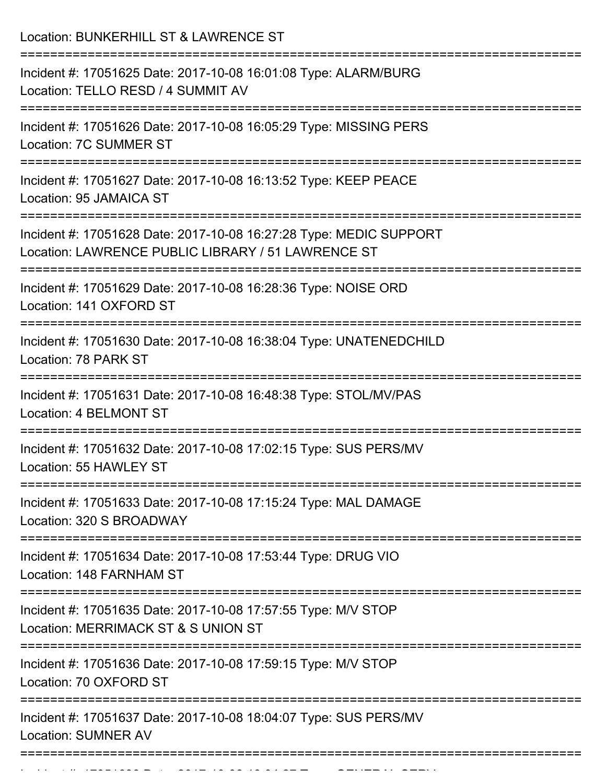Location: BUNKERHILL ST & LAWRENCE ST =========================================================================== Incident #: 17051625 Date: 2017-10-08 16:01:08 Type: ALARM/BURG Location: TELLO RESD / 4 SUMMIT AV =========================================================================== Incident #: 17051626 Date: 2017-10-08 16:05:29 Type: MISSING PERS Location: 7C SUMMER ST =========================================================================== Incident #: 17051627 Date: 2017-10-08 16:13:52 Type: KEEP PEACE Location: 95 JAMAICA ST =========================================================================== Incident #: 17051628 Date: 2017-10-08 16:27:28 Type: MEDIC SUPPORT Location: LAWRENCE PUBLIC LIBRARY / 51 LAWRENCE ST =========================================================================== Incident #: 17051629 Date: 2017-10-08 16:28:36 Type: NOISE ORD Location: 141 OXFORD ST =========================================================================== Incident #: 17051630 Date: 2017-10-08 16:38:04 Type: UNATENEDCHILD Location: 78 PARK ST =========================================================================== Incident #: 17051631 Date: 2017-10-08 16:48:38 Type: STOL/MV/PAS Location: 4 BELMONT ST =========================================================================== Incident #: 17051632 Date: 2017-10-08 17:02:15 Type: SUS PERS/MV Location: 55 HAWLEY ST =========================================================================== Incident #: 17051633 Date: 2017-10-08 17:15:24 Type: MAL DAMAGE Location: 320 S BROADWAY =========================================================================== Incident #: 17051634 Date: 2017-10-08 17:53:44 Type: DRUG VIO Location: 148 FARNHAM ST =========================================================================== Incident #: 17051635 Date: 2017-10-08 17:57:55 Type: M/V STOP Location: MERRIMACK ST & S UNION ST =========================================================================== Incident #: 17051636 Date: 2017-10-08 17:59:15 Type: M/V STOP Location: 70 OXFORD ST =========================================================================== Incident #: 17051637 Date: 2017-10-08 18:04:07 Type: SUS PERS/MV Location: SUMNER AV ===========================================================================

Incident #: 17051638 Date: 2017 10 08 18:04:27 Date: 2017 10 08 18:04:27 Type: GENERAL SERVICE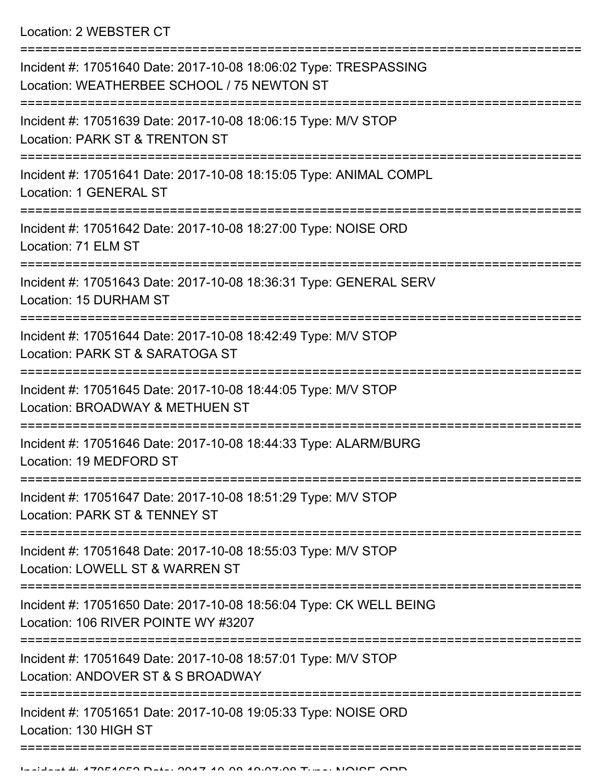Location: 2 WEBSTER CT

| Incident #: 17051640 Date: 2017-10-08 18:06:02 Type: TRESPASSING<br>Location: WEATHERBEE SCHOOL / 75 NEWTON ST              |
|-----------------------------------------------------------------------------------------------------------------------------|
| Incident #: 17051639 Date: 2017-10-08 18:06:15 Type: M/V STOP<br>Location: PARK ST & TRENTON ST                             |
| Incident #: 17051641 Date: 2017-10-08 18:15:05 Type: ANIMAL COMPL<br>Location: 1 GENERAL ST                                 |
| Incident #: 17051642 Date: 2017-10-08 18:27:00 Type: NOISE ORD<br>Location: 71 ELM ST                                       |
| Incident #: 17051643 Date: 2017-10-08 18:36:31 Type: GENERAL SERV<br>Location: 15 DURHAM ST<br>============================ |
| Incident #: 17051644 Date: 2017-10-08 18:42:49 Type: M/V STOP<br>Location: PARK ST & SARATOGA ST                            |
| Incident #: 17051645 Date: 2017-10-08 18:44:05 Type: M/V STOP<br>Location: BROADWAY & METHUEN ST                            |
| Incident #: 17051646 Date: 2017-10-08 18:44:33 Type: ALARM/BURG<br>Location: 19 MEDFORD ST                                  |
| Incident #: 17051647 Date: 2017-10-08 18:51:29 Type: M/V STOP<br>Location: PARK ST & TENNEY ST                              |
| Incident #: 17051648 Date: 2017-10-08 18:55:03 Type: M/V STOP<br>Location: LOWELL ST & WARREN ST                            |
| Incident #: 17051650 Date: 2017-10-08 18:56:04 Type: CK WELL BEING<br>Location: 106 RIVER POINTE WY #3207                   |
| Incident #: 17051649 Date: 2017-10-08 18:57:01 Type: M/V STOP<br>Location: ANDOVER ST & S BROADWAY                          |
| Incident #: 17051651 Date: 2017-10-08 19:05:33 Type: NOISE ORD<br>Location: 130 HIGH ST                                     |
|                                                                                                                             |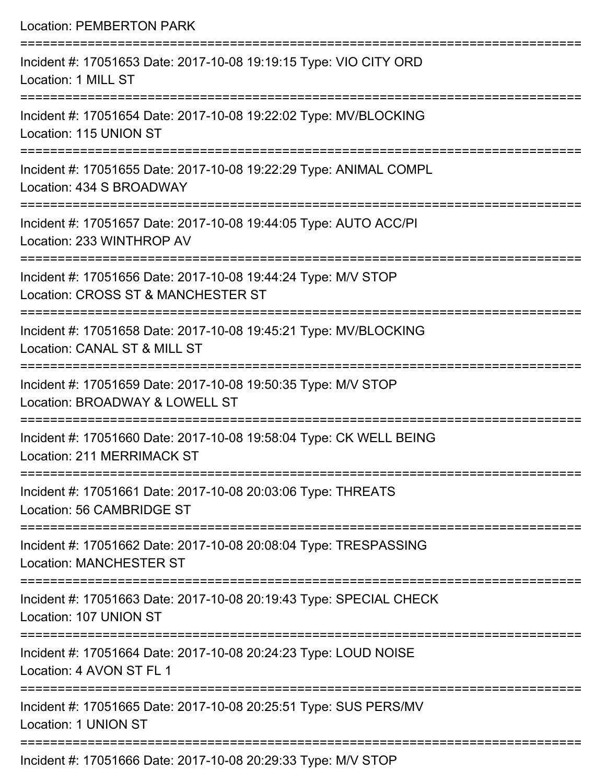| <b>Location: PEMBERTON PARK</b>                                                                                                 |
|---------------------------------------------------------------------------------------------------------------------------------|
| Incident #: 17051653 Date: 2017-10-08 19:19:15 Type: VIO CITY ORD<br>Location: 1 MILL ST<br>=================================== |
| Incident #: 17051654 Date: 2017-10-08 19:22:02 Type: MV/BLOCKING<br>Location: 115 UNION ST                                      |
| Incident #: 17051655 Date: 2017-10-08 19:22:29 Type: ANIMAL COMPL<br>Location: 434 S BROADWAY                                   |
| Incident #: 17051657 Date: 2017-10-08 19:44:05 Type: AUTO ACC/PI<br>Location: 233 WINTHROP AV                                   |
| Incident #: 17051656 Date: 2017-10-08 19:44:24 Type: M/V STOP<br>Location: CROSS ST & MANCHESTER ST                             |
| Incident #: 17051658 Date: 2017-10-08 19:45:21 Type: MV/BLOCKING<br>Location: CANAL ST & MILL ST                                |
| Incident #: 17051659 Date: 2017-10-08 19:50:35 Type: M/V STOP<br>Location: BROADWAY & LOWELL ST                                 |
| Incident #: 17051660 Date: 2017-10-08 19:58:04 Type: CK WELL BEING<br>Location: 211 MERRIMACK ST                                |
| Incident #: 17051661 Date: 2017-10-08 20:03:06 Type: THREATS<br>Location: 56 CAMBRIDGE ST                                       |
| Incident #: 17051662 Date: 2017-10-08 20:08:04 Type: TRESPASSING<br><b>Location: MANCHESTER ST</b>                              |
| Incident #: 17051663 Date: 2017-10-08 20:19:43 Type: SPECIAL CHECK<br>Location: 107 UNION ST                                    |
| Incident #: 17051664 Date: 2017-10-08 20:24:23 Type: LOUD NOISE<br>Location: 4 AVON ST FL 1                                     |
| Incident #: 17051665 Date: 2017-10-08 20:25:51 Type: SUS PERS/MV<br>Location: 1 UNION ST                                        |
|                                                                                                                                 |

Incident #: 17051666 Date: 2017-10-08 20:29:33 Type: M/V STOP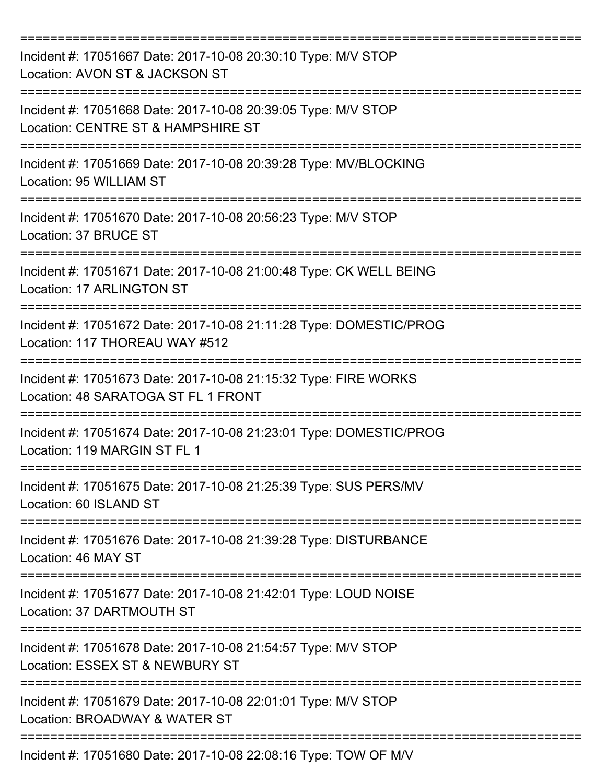| Incident #: 17051667 Date: 2017-10-08 20:30:10 Type: M/V STOP<br>Location: AVON ST & JACKSON ST        |
|--------------------------------------------------------------------------------------------------------|
| Incident #: 17051668 Date: 2017-10-08 20:39:05 Type: M/V STOP<br>Location: CENTRE ST & HAMPSHIRE ST    |
| Incident #: 17051669 Date: 2017-10-08 20:39:28 Type: MV/BLOCKING<br>Location: 95 WILLIAM ST            |
| Incident #: 17051670 Date: 2017-10-08 20:56:23 Type: M/V STOP<br>Location: 37 BRUCE ST                 |
| Incident #: 17051671 Date: 2017-10-08 21:00:48 Type: CK WELL BEING<br><b>Location: 17 ARLINGTON ST</b> |
| Incident #: 17051672 Date: 2017-10-08 21:11:28 Type: DOMESTIC/PROG<br>Location: 117 THOREAU WAY #512   |
| Incident #: 17051673 Date: 2017-10-08 21:15:32 Type: FIRE WORKS<br>Location: 48 SARATOGA ST FL 1 FRONT |
| Incident #: 17051674 Date: 2017-10-08 21:23:01 Type: DOMESTIC/PROG<br>Location: 119 MARGIN ST FL 1     |
| Incident #: 17051675 Date: 2017-10-08 21:25:39 Type: SUS PERS/MV<br>Location: 60 ISLAND ST             |
| Incident #: 17051676 Date: 2017-10-08 21:39:28 Type: DISTURBANCE<br>Location: 46 MAY ST                |
| Incident #: 17051677 Date: 2017-10-08 21:42:01 Type: LOUD NOISE<br>Location: 37 DARTMOUTH ST           |
| Incident #: 17051678 Date: 2017-10-08 21:54:57 Type: M/V STOP<br>Location: ESSEX ST & NEWBURY ST       |
| Incident #: 17051679 Date: 2017-10-08 22:01:01 Type: M/V STOP<br>Location: BROADWAY & WATER ST         |
| Incident #: 17051680 Date: 2017-10-08 22:08:16 Type: TOW OF M/V                                        |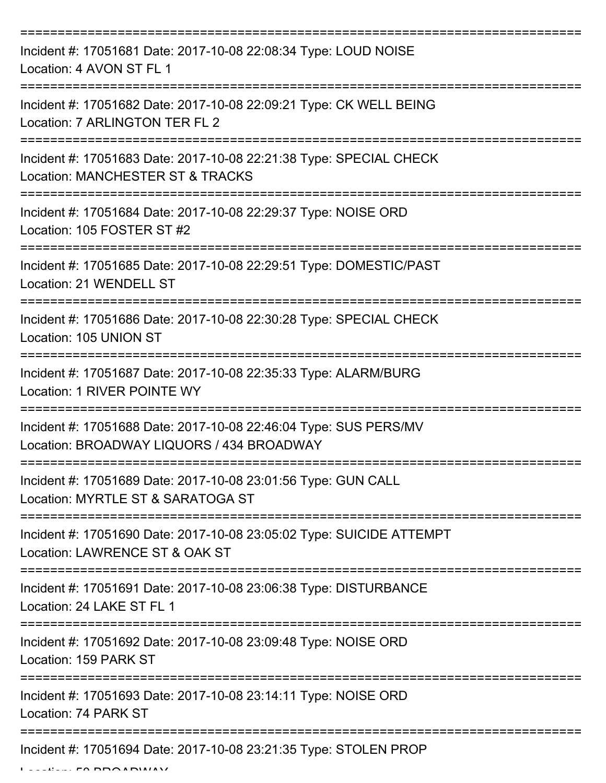| Incident #: 17051681 Date: 2017-10-08 22:08:34 Type: LOUD NOISE<br>Location: 4 AVON ST FL 1                   |
|---------------------------------------------------------------------------------------------------------------|
| Incident #: 17051682 Date: 2017-10-08 22:09:21 Type: CK WELL BEING<br>Location: 7 ARLINGTON TER FL 2          |
| Incident #: 17051683 Date: 2017-10-08 22:21:38 Type: SPECIAL CHECK<br>Location: MANCHESTER ST & TRACKS        |
| Incident #: 17051684 Date: 2017-10-08 22:29:37 Type: NOISE ORD<br>Location: 105 FOSTER ST #2                  |
| Incident #: 17051685 Date: 2017-10-08 22:29:51 Type: DOMESTIC/PAST<br>Location: 21 WENDELL ST                 |
| Incident #: 17051686 Date: 2017-10-08 22:30:28 Type: SPECIAL CHECK<br>Location: 105 UNION ST                  |
| Incident #: 17051687 Date: 2017-10-08 22:35:33 Type: ALARM/BURG<br>Location: 1 RIVER POINTE WY<br>==========  |
| Incident #: 17051688 Date: 2017-10-08 22:46:04 Type: SUS PERS/MV<br>Location: BROADWAY LIQUORS / 434 BROADWAY |
| Incident #: 17051689 Date: 2017-10-08 23:01:56 Type: GUN CALL<br>Location: MYRTLE ST & SARATOGA ST            |
| Incident #: 17051690 Date: 2017-10-08 23:05:02 Type: SUICIDE ATTEMPT<br>Location: LAWRENCE ST & OAK ST        |
| Incident #: 17051691 Date: 2017-10-08 23:06:38 Type: DISTURBANCE<br>Location: 24 LAKE ST FL 1                 |
| Incident #: 17051692 Date: 2017-10-08 23:09:48 Type: NOISE ORD<br>Location: 159 PARK ST                       |
| Incident #: 17051693 Date: 2017-10-08 23:14:11 Type: NOISE ORD<br>Location: 74 PARK ST<br>=================== |
| Incident #: 17051694 Date: 2017-10-08 23:21:35 Type: STOLEN PROP                                              |